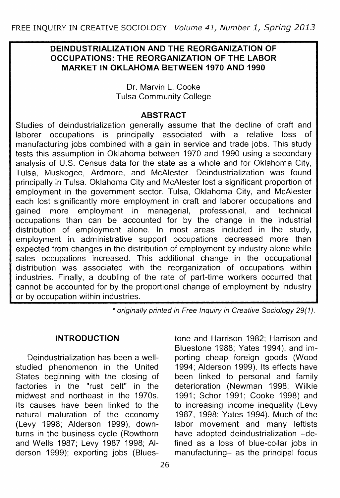#### **DEINDUSTRIALIZATION AND THE REORGANIZATION OF OCCUPATIONS: THE REORGANIZATION OF THE LABOR MARKET IN OKLAHOMA BETWEEN 1970 AND 1990**

Dr. Marvin L. Cooke Tulsa Community College

#### **ABSTRACT**

Studies of deindustrialization generally assume that the decline of craft and<br>laborer occupations is principally associated with a relative loss of laborer occupations is principally associated with a manufacturing jobs combined with a gain in service and trade jobs. This study tests this assumption in Oklahoma between 1970 and 1990 using a secondary analysis of U.S. Census data for the state as a whole and for Oklahoma City, Tulsa, Muskogee, Ardmore, and McAlester. Deindustrialization was found principally in Tulsa. Oklahoma City and McAlester lost a significant proportion of employment in the government sector. Tulsa, Oklahoma City, and McAlester each lost significantly more employment in craft and laborer occupations and gained more employment in managerial, professional, and technical occupations than can be accounted for by the change in the industrial distribution of employment alone. In most areas included in the study, employment in administrative support occupations decreased more than expected from changes in the distribution of employment by industry alone while sales occupations increased. This additional change in the occupational distribution was associated with the reorganization of occupations within industries. Finally, a doubling of the rate of part-time workers occurred that cannot be accounted for by the proportional change of employment by industry or by occupation within industries.

\* originally printed in Free Inquiry in Creative Sociology 29(1).

#### **INTRODUCTION**

Deindustrialization has been a wellstudied phenomenon in the United States beginning with the closing of factories in the "rust belt" in the midwest and northeast in the 1970s. Its causes have been linked to the natural maturation of the economy (Levy 1998; Alderson 1999), downturns in the business cycle (Rowthorn and Wells 1987; Levy 1987 1998; Alderson 1999); exporting jobs (Bluestone and Harrison 1982; Harrison and Bluestone 1988; Yates 1994), and importing cheap foreign goods (Wood 1994; Alderson 1999). Its effects have been linked to personal and family deterioration (Newman 1998; Wilkie 1991; Schor 1991; Cooke 1998) and to increasing income inequality (Levy 1987, 1998; Yates 1994). Much of the labor movement and many leftists have adopted deindustrialization -defined as a loss of blue-collar jobs in manufacturing- as the principal focus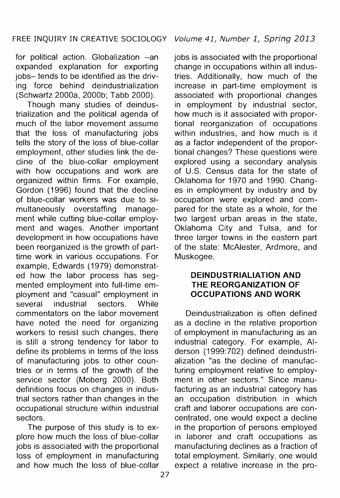for political action. Globalization -an expanded explanation for exporting jobs- tends to be identified as the driving force behind deindustrialization (Schwartz 2000a, 2000b; Tabb 2000).

Though many studies of deindustrialization and the political agenda of much of the labor movement assume that the loss of manufacturing jobs tells the story of the loss of blue-collar employment, other studies link the decline of the blue-collar employment with how occupations and work are organized within firms. For example, Gordon (1996) found that the decline of blue-collar workers was due to simultaneously overstaffing management while cutting blue-collar employment and wages. Another important development in how occupations have been reorganized is the growth of parttime work in various occupations. For example, Edwards (1979) demonstrated how the labor process has segmented employment into full-time employment and "casual" employment in several industrial sectors. While commentators on the labor movement have noted the need for organizing workers to resist such changes, there is still a strong tendency for labor to define its problems in terms of the loss of manufacturing jobs to other countries or in terms of the growth of the service sector (Moberg 2000). Both definitions focus on changes in industrial sectors rather than changes in the occupational structure within industrial sectors.

The purpose of this study is to explore how much the loss of blue-collar jobs is associated with the proportional loss of employment in manufacturing and how much the loss of blue-collar

jobs is associated with the proportional change in occupations within all industries. Additionally, how much of the increase in part-time employment is associated with proportional changes in employment by industrial sector, how much is it associated with proportional reorganization of occupations within industries, and how much is it as a factor independent of the proportional changes? These questions were explored using a secondary analysis of U.S. Census data for the state of Oklahoma for 1970 and 1990. Changes in employment by industry and by occupation were explored and compared for the state as a whole, for the two largest urban areas in the state, Oklahoma City and Tulsa, and for three larger towns in the eastern part of the state: McAlester, Ardmore, and Muskogee.

#### **DEINDUSTRIALIATION AND THE REORGANIZATION OF OCCUPATIONS AND WORK**

Deindustrialization is often defined as a decline in the relative proportion of employment in manufacturing as an industrial category. For example, Alderson (1999:702) defined deindustrialization "as the decline of manufacturing employment relative to employment in other sectors." Since manufacturing as an industrial category has an occupation distribution in which craft and laborer occupations are concentrated, one would expect a decline in the proportion of persons employed in laborer and craft occupations as manufacturing declines as a fraction of total employment. Similarly, one would expect a relative increase in the pro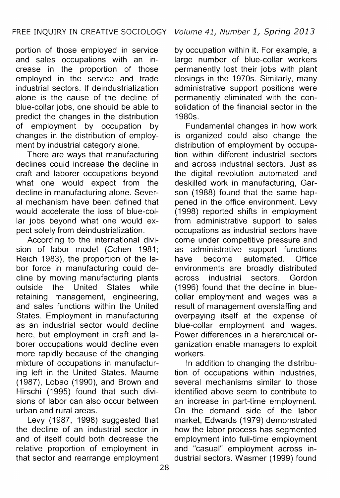portion of those employed in service and sales occupations with an increase in the proportion of those employed in the service and trade industrial sectors. If deindustrialization alone is the cause of the decline of blue-collar jobs, one should be able to predict the changes in the distribution of employment by occupation by changes in the distribution of employment by industrial category alone.

There are ways that manufacturing declines could increase the decline in craft and laborer occupations beyond what one would expect from the decline in manufacturing alone. Several mechanism have been defined that would accelerate the loss of blue-collar jobs beyond what one would expect solely from deindustrialization.

According to the international division of labor model (Cohen 1981; Reich 1983), the proportion of the labor force in manufacturing could decline by moving manufacturing plants<br>outside the United States while outside the United States while retaining management, engineering, and sales functions within the United States. Employment in manufacturing as an industrial sector would decline here, but employment in craft and laborer occupations would decline even more rapidly because of the changing mixture of occupations in manufacturing left in the United States. Maume (1987), Lobao (1990), and Brown and Hirschi (1995) found that such divisions of labor can also occur between urban and rural areas.

Levy (1987, 1998) suggested that the decline of an industrial sector in and of itself could both decrease the relative proportion of employment in that sector and rearrange employment by occupation within it. For example, a large number of blue-collar workers permanently lost their jobs with plant closings in the 1970s. Similarly, many administrative support positions were permanently eliminated with the consolidation of the financial sector in the 1980s.

Fundamental changes in how work is organized could also change the distribution of employment by occupation within different industrial sectors and across industrial sectors. Just as the digital revolution automated and deskilled work in manufacturing, Garson (1988) found that the same happened in the office environment. Levy (1998) reported shifts in employment from administrative support to sales occupations as industrial sectors have come under competitive pressure and as administrative support functions have become automated. Office environments are broadly distributed across industrial sectors. Gordon ( 1996) found that the decline in bluecollar employment and wages was a result of management overstaffing and overpaying itself at the expense of blue-collar employment and wages. Power differences in a hierarchical organization enable managers to exploit workers.

In addition to changing the distribution of occupations within industries, several mechanisms similar to those identified above seem to contribute to an increase in part-time employment. On the demand side of the labor market, Edwards (1979) demonstrated how the labor process has segmented employment into full-time employment and "casual" employment across industrial sectors. Wasmer (1999) found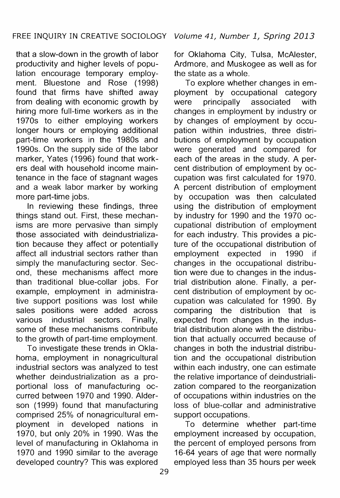that a slow-down in the growth of labor productivity and higher levels of population encourage temporary employment. Bluestone and Rose (1998) found that firms have shifted away from dealing with economic growth by hiring more full-time workers as in the 1970s to either employing workers longer hours or employing additional part-time workers in the 1980s and 1990s. On the supply side of the labor marker, Yates (1996) found that workers deal with household income maintenance in the face of stagnant wages and a weak labor marker by working more part-time jobs.

In reviewing these findings, three things stand out. First, these mechanisms are more pervasive than simply those associated with deindustrialization because they affect or potentially affect all industrial sectors rather than simply the manufacturing sector. Second, these mechanisms affect more than traditional blue-collar jobs. For example, employment in administrative support positions was lost while sales positions were added across various industrial sectors. Finally, some of these mechanisms contribute to the growth of part-time employment.

To investigate these trends in Oklahoma, employment in nonagricultural industrial sectors was analyzed to test whether deindustrialization as a proportional loss of manufacturing occurred between 1970 and 1990. Alderson (1999) found that manufacturing comprised 25% of nonagricultural employment in developed nations in 1970, but only 20% in 1990. Was the level of manufacturing in Oklahoma in 1970 and 1990 similar to the average developed country? This was explored for Oklahoma City, Tulsa, McAlester, Ardmore, and Muskogee as well as for the state as a whole.

To explore whether changes in employment by occupational category<br>were principally associated with principally associated with changes in employment by industry or by changes of employment by occupation within industries, three distributions of employment by occupation were generated and compared for each of the areas in the study. A percent distribution of employment by occupation was first calculated for 1970. A percent distribution of employment by occupation was then calculated using the distribution of employment by industry for 1990 and the 1970 occupational distribution of employment for each industry. This provides a picture of the occupational distribution of employment expected in 1990 if changes in the occupational distribution were due to changes in the industrial distribution alone. Finally, a percent distribution of employment by occupation was calculated for 1990. By comparing the distribution that is expected from changes in the industrial distribution alone with the distribution that actually occurred because of changes in both the industrial distribution and the occupational distribution within each industry, one can estimate the relative importance of deindustrialization compared to the reorganization of occupations within industries on the loss of blue-collar and administrative support occupations.

To determine whether part-time employment increased by occupation, the percent of employed persons from 16-64 years of age that were normally employed less than 35 hours per week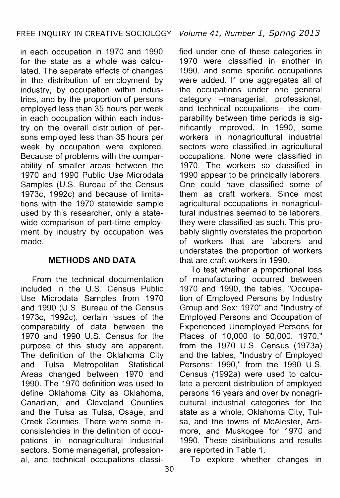in each occupation in 1970 and 1990 for the state as a whole was calculated. The separate effects of changes in the distribution of employment by industry, by occupation within industries, and by the proportion of persons employed less than 35 hours per week in each occupation within each industry on the overall distribution of persons employed less than 35 hours per week by occupation were explored. Because of problems with the comparability of smaller areas between the 1970 and 1990 Public Use Microdata Samples (U.S. Bureau of the Census 1973c, 1992c) and because of limitations with the 1970 statewide sample used by this researcher, only a statewide comparison of part-time employment by industry by occupation was made.

### **METHODS AND DATA**

From the technical documentation included in the U.S. Census Public Use Microdata Samples from 1970 and 1990 (U.S. Bureau of the Census 1973c, 1992c), certain issues of the comparability of data between the 1970 and 1990 U.S. Census for the purpose of this study are apparent. The definition of the Oklahoma City and Tulsa Metropolitan Statistical Areas changed between 1970 and 1990. The 1970 definition was used to define Oklahoma City as Oklahoma, Canadian, and Cleveland Counties and the Tulsa as Tulsa, Osage, and Creek Counties. There were some inconsistencies in the definition of occupations in nonagricultural industrial sectors. Some managerial, professional, and technical occupations classi-

fied under one of these categories in 1970 were classified in another in 1990, and some specific occupations were added. If one aggregates all of the occupations under one general category -managerial, professional, and technical occupations- the comparability between time periods is significantly improved. In 1990, some workers in nonagricultural industrial sectors were classified in agricultural occupations. None were classified in 1970. The workers so classified in 1990 appear to be principally laborers. One could have classified some of them as craft workers. Since most agricultural occupations in nonagricultural industries seemed to be laborers, they were classified as such. This probably slightly overstates the proportion of workers that are laborers and understates the proportion of workers that are craft workers in 1990.

To test whether a proportional loss of manufacturing occurred between 1970 and 1990, the tables, "Occupation of Employed Persons by Industry Group and Sex: 1970" and "Industry of Employed Persons and Occupation of Experienced Unemployed Persons for Places of 10,000 to 50,000: 1970," from the 1970 U.S. Census (1973a) and the tables, "Industry of Employed Persons: 1990," from the 1990 U.S. Census (1992a) were used to calculate a percent distribution of employed persons 16 years and over by nonagricultural industrial categories for the state as a whole, Oklahoma City, Tulsa, and the towns of McAlester, Ardmore, and Muskogee for 1970 and 1990. These distributions and results are reported in Table 1.

To explore whether changes in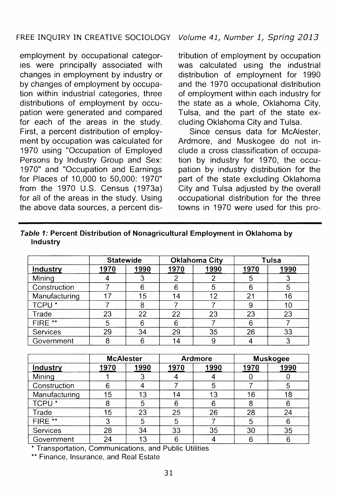### FREE INQUIRY IN CREATIVE SOCIOLOGY Volume 41, Number 1, Spring 2013

employment by occupational categories were principally associated with changes in employment by industry or by changes of employment by occupation within industrial categories, three distributions of employment by occupation were generated and compared for each of the areas in the study. First, a percent distribution of employment by occupation was calculated for 1970 using "Occupation of Employed Persons by Industry Group and Sex: 1970" and "Occupation and Earnings for Places of 10,000 to 50,000: 1970" from the 1970 U.S. Census (1973a) for all of the areas in the study. Using the above data sources, a percent dis-

tribution of employment by occupation was calculated using the industrial distribution of employment for 1990 and the 1970 occupational distribution of employment within each industry for the state as a whole, Oklahoma City, Tulsa, and the part of the state excluding Oklahoma City and Tulsa.

Since census data for McAlester. Ardmore, and Muskogee do not include a cross classification of occupation by industry for 1970, the occupation by industry distribution for the part of the state excluding Oklahoma City and Tulsa adjusted by the overall occupational distribution for the three towns in 1970 were used for this pro-

|                   |      | <b>Statewide</b> | <b>Oklahoma City</b> |      | Tulsa |      |
|-------------------|------|------------------|----------------------|------|-------|------|
| Industry          | 1970 | 1990             | 1970                 | 1990 | 1970  | 1990 |
| Mining            |      |                  |                      |      |       |      |
| Construction      |      | 6                | 6                    | 5    | հ     |      |
| Manufacturing     | 17   | 15               | 14                   | 12   | 21    | 16   |
| TCPU <sup>*</sup> |      |                  |                      |      |       | 10   |
| Trade             | 23   | 22               | 22                   | 23   | 23    | 23   |
| FIRE **           | 5    | հ                | 6                    |      | Բ     |      |
| Services          | 29   | 34               | 29                   | 35   | 26    | 33   |
| Government        | 8    |                  | 14                   | 9    |       | 3    |

| Table 1: Percent Distribution of Nonagricultural Employment in Oklahoma by |  |
|----------------------------------------------------------------------------|--|
| Industry                                                                   |  |

|                   | <b>McAlester</b> |      | <b>Ardmore</b> |      | <b>Muskogee</b> |      |
|-------------------|------------------|------|----------------|------|-----------------|------|
| Industry          | 1970             | 1990 | 1970           | 1990 | 1970            | 1990 |
| Mining            |                  |      |                |      |                 |      |
| Construction      |                  |      |                |      |                 |      |
| Manufacturing     | 15               | 13   | 14             | 13   | 16              | 18   |
| TCPU <sup>*</sup> |                  | 5    | 6              |      |                 |      |
| Trade             | 15               | 23   | 25             | 26   | 28              | 24   |
| FIRE **           | 3                | 5    | 5              |      |                 |      |
| Services          | 28               | 34   | 33             | 35   | 30              | 35   |
| Government        | 24               | 13   |                |      |                 | 6    |

\* Transportation, Communications, and Public Utilities

\*\* Finance, Insurance, and Real Estate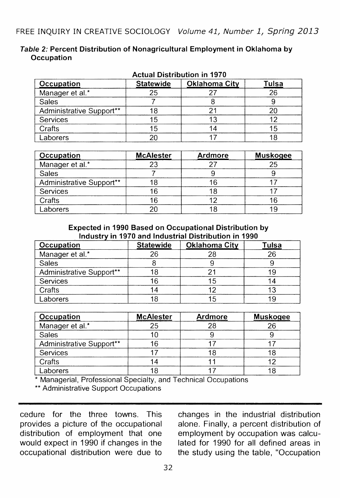| Table 2: Percent Distribution of Nonagricultural Employment in Oklahoma by |  |
|----------------------------------------------------------------------------|--|
| Occupation                                                                 |  |

| <b>Actual Distribution in 1970</b> |                  |                      |       |  |
|------------------------------------|------------------|----------------------|-------|--|
| Occupation                         | <b>Statewide</b> | <b>Oklahoma City</b> | Tulsa |  |
| Manager et al.*                    | 25               |                      | 26    |  |
| Sales                              |                  |                      |       |  |
| Administrative Support**           |                  |                      |       |  |
| Services                           |                  |                      |       |  |
| Crafts                             |                  |                      |       |  |
| Laborers                           |                  |                      |       |  |

| Occupation               | <b>McAlester</b> | Ardmore | Muskogee |
|--------------------------|------------------|---------|----------|
| Manager et al.*          |                  |         | 25       |
| Sales                    |                  |         |          |
| Administrative Support** |                  |         |          |
| Services                 |                  |         |          |
| Crafts                   |                  |         |          |
| Laborers                 |                  |         |          |

Expected in 1990 Based on Occupational Distribution by .<br>Industry in 1970 and Industrial Distribution in 1990

| Occupation               | <b>Statewide</b> | <b>Oklahoma City</b> | <b>Tulsa</b> |
|--------------------------|------------------|----------------------|--------------|
| Manager et al.*          | ጋና               |                      | 26           |
| Sales                    |                  |                      |              |
| Administrative Support** |                  |                      |              |
| Services                 | 6                |                      |              |
| Crafts                   |                  |                      |              |
| Laborers                 |                  |                      |              |

| Occupation               | <b>McAlester</b> | <b>Ardmore</b> | <b>Muskogee</b> |
|--------------------------|------------------|----------------|-----------------|
| Manager et al.*          |                  | 28             | 26              |
| Sales                    |                  |                |                 |
| Administrative Support** |                  |                |                 |
| Services                 |                  |                |                 |
| Crafts                   |                  |                |                 |
| Laborers                 |                  |                |                 |

Managerial, Professional Specialty, and Technical Occupations

\*\* Administrative Support Occupations

cedure for the three towns. This provides a picture of the occupational distribution of employment that one would expect in 1990 if changes in the occupational distribution were due to changes in the industrial distribution alone. Finally, a percent distribution of employment by occupation was calculated for 1990 for all defined areas in the study using the table, "Occupation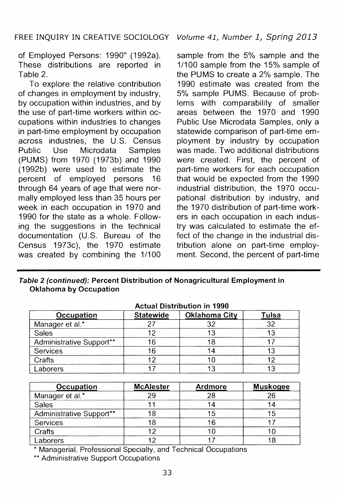of Employed Persons: 1990" (1992a). These distributions are reported in Table 2.

To explore the relative contribution of changes in employment by industry, by occupation within industries, and by the use of part-time workers within occupations within industries to changes in part-time employment by occupation across industries, the U.S. Census Public Use Microdata Samples (PUMS) from 1970 (1973b) and 1990 ( 1992b) were used to estimate the percent of employed persons 16 through 64 years of age that were normally employed less than 35 hours per week in each occupation in 1970 and 1990 for the state as a whole. Following the suggestions in the technical documentation (U.S. Bureau of the Census 1973c), the 1970 estimate was created by combining the 1/100

sample from the 5% sample and the 1/100 sample from the 15% sample of the PUMS to create a 2% sample. The 1990 estimate was created from the 5% sample PUMS. Because of problems with comparability of smaller areas between the 1970 and 1990 Public Use Microdata Samples, only a statewide comparison of part-time employment by industry by occupation was made. Two additional distributions were created. First, the percent of part-time workers for each occupation that would be expected from the 1990 industrial distribution, the 1970 occupational distribution by industry, and the 1970 distribution of part-time workers in each occupation in each industry was calculated to estimate the effect of the change in the industrial distribution alone on part-time employment. Second, the percent of part-time

Table 2 (continued): Percent Distribution of Nonagricultural Employment in Oklahoma by Occupation

| <b>Actual Distribution in 1990</b> |                  |               |       |  |
|------------------------------------|------------------|---------------|-------|--|
| Occupation                         | <b>Statewide</b> | Oklahoma City | Tulsa |  |
| Manager et al.*                    |                  |               |       |  |
| Sales                              |                  |               |       |  |
| Administrative Support**           | 6                |               |       |  |
| Services                           | 16               |               |       |  |
| Crafts                             |                  |               |       |  |
| Laborers                           |                  |               |       |  |

| Occupation               | <b>McAlester</b> | Ardmore | <b>Muskogee</b> |
|--------------------------|------------------|---------|-----------------|
| Manager et al.*          |                  | 28      | 26              |
| Sales                    |                  | 14      |                 |
| Administrative Support** |                  | 15      |                 |
| Services                 |                  | 16      |                 |
| Crafts                   |                  | 10      |                 |
| Laborers                 |                  |         |                 |

Managerial, Professional Specialty, and Technical Occupations

\*\* Administrative Support Occupations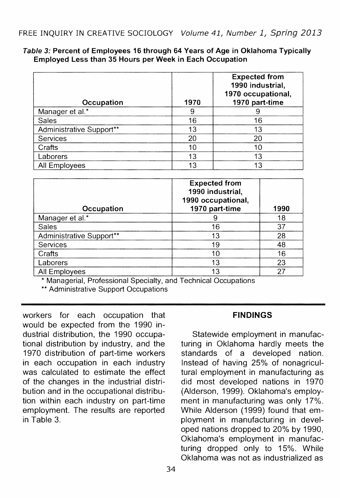#### Table 3: Percent of Employees 16 through 64 Years of Age in Oklahoma Typically Employed Less than 35 Hours per Week in Each Occupation

| Occupation               | 1970 | <b>Expected from</b><br>1990 industrial.<br>1970 occupational,<br>1970 part-time |
|--------------------------|------|----------------------------------------------------------------------------------|
| Manager et al.*          | 9    |                                                                                  |
| Sales                    | 16   | 16                                                                               |
| Administrative Support** | 13   | 13                                                                               |
| Services                 | 20   | 20                                                                               |
| Crafts                   | 10   | 10                                                                               |
| Laborers                 | 13   | 13                                                                               |
| All Employees            | 13   | 13                                                                               |

| Occupation               | <b>Expected from</b><br>1990 industrial.<br>1990 occupational,<br>1970 part-time | 1990 |
|--------------------------|----------------------------------------------------------------------------------|------|
| Manager et al.*          | 9                                                                                | 18   |
| Sales                    | 16                                                                               | 37   |
| Administrative Support** | 13                                                                               | 28   |
| Services                 | 19                                                                               | 48   |
| Crafts                   | 10                                                                               | 16   |
| Laborers                 | 13                                                                               | 23   |
| All Employees            | 13                                                                               | 27   |

\* Managerial, Professional Specialty, and Technical Occupations

\*\* Administrative Support Occupations

workers for each occupation that would be expected from the 1990 industrial distribution, the 1990 occupational distribution by industry, and the 1970 distribution of part-time workers in each occupation in each industry was calculated to estimate the effect of the changes in the industrial distribution and in the occupational distribution within each industry on part-time employment. The results are reported in Table 3.

# **FINDINGS**

Statewide employment in manufacturing in Oklahoma hardly meets the standards of a developed nation. Instead of having 25% of nonagricultural employment in manufacturing as did most developed nations in 1970 (Alderson, 1999). Oklahoma's employment in manufacturing was only 17%. While Alderson (1999) found that employment in manufacturing in developed nations dropped to 20% by 1990, Oklahoma's employment in manufacturing dropped only to 15%. While Oklahoma was not as industrialized as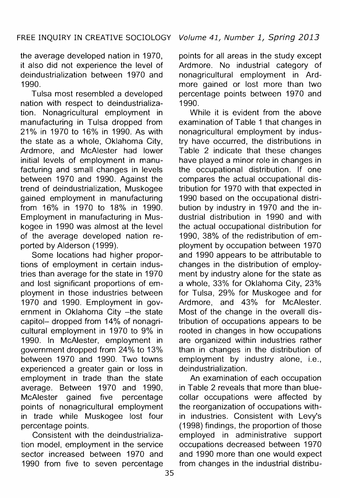the average developed nation in 1970, it also did not experience the level of deindustrialization between 1970 and 1990.

Tulsa most resembled a developed nation with respect to deindustrialization. Nonagricultural employment in manufacturing in Tulsa dropped from 21% in 1970 to 16% in 1990. As with the state as a whole, Oklahoma City, Ardmore, and McAlester had lower initial levels of employment in manufacturing and small changes in levels between 1970 and 1990. Against the trend of deindustrialization, Muskogee gained employment in manufacturing from 16% in 1970 to 18% in 1990. Employment in manufacturing in Muskogee in 1990 was almost at the level of the average developed nation reported by Alderson (1999).

Some locations had higher proportions of employment in certain industries than average for the state in 1970 and lost significant proportions of employment in those industries between 1970 and 1990. Employment in government in Oklahoma City -the state capitol- dropped from 14% of nonagricultural employment in 1970 to 9% in 1990. In McAlester, employment in government dropped from 24% to 13% between 1970 and 1990. Two towns experienced a greater gain or loss in employment in trade than the state average. Between 1970 and 1990, McAlester gained five percentage points of nonagricultural employment in trade while Muskogee lost four percentage points.

Consistent with the deindustrialization model, employment in the service sector increased between 1970 and 1990 from five to seven percentage

points for all areas in the study except Ardmore. No industrial category of nonagricultural employment in Ardmore gained or lost more than two percentage points between 1970 and 1990.

While it is evident from the above examination of Table 1 that changes in nonagricultural employment by industry have occurred, the distributions in Table 2 indicate that these changes have played a minor role in changes in the occupational distribution. If one compares the actual occupational distribution for 1970 with that expected in 1990 based on the occupational distribution by industry in 1970 and the industrial distribution in 1990 and with the actual occupational distribution for 1990, 38% of the redistribution of employment by occupation between 1970 and 1990 appears to be attributable to changes in the distribution of employment by industry alone for the state as a whole, 33% for Oklahoma City, 23% for Tulsa, 29% for Muskogee and for Ardmore, and 43% for McAlester. Most of the change in the overall distribution of occupations appears to be rooted in changes in how occupations are organized within industries rather than in changes in the distribution of employment by industry alone, i.e., deindustrialization.

An examination of each occupation in Table 2 reveals that more than bluecollar occupations were affected by the reorganization of occupations within industries. Consistent with Levy's (1998) findings, the proportion of those employed in administrative support occupations decreased between 1970 and 1990 more than one would expect from changes in the industrial distribu-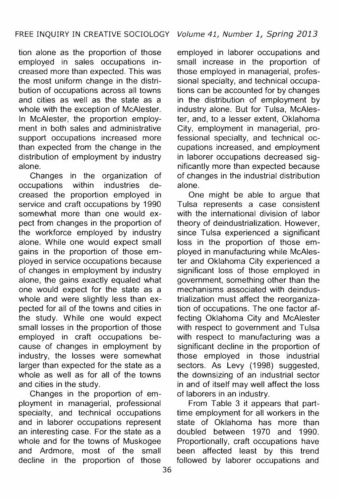tion alone as the proportion of those employed in sales occupations increased more than expected. This was the most uniform change in the distribution of occupations across all towns and cities as well as the state as a whole with the exception of McAlester. In McAlester, the proportion employment in both sales and administrative support occupations increased more than expected from the change in the distribution of employment by industry alone.

Changes in the organization of occupations within industries decreased the proportion employed in service and craft occupations by 1990 somewhat more than one would expect from changes in the proportion of the workforce employed by industry alone. While ohe would expect small gains in the proportion of those employed in service occupations because of changes in employment by industry alone, the gains exactly equaled what one would expect for the state as a whole and were slightly less than expected for all of the towns and cities in the study. While one would expect small losses in the proportion of those employed in craft occupations because of changes in employment by industry, the losses were somewhat larger than expected for the state as a whole as well as for all of the towns and cities in the study.

Changes in the proportion of employment in managerial, professional specialty, and technical occupations and in laborer occupations represent an interesting case. For the state as a whole and for the towns of Muskogee and Ardmore, most of the small decline in the proportion of those

employed in laborer occupations and small increase in the proportion of those employed in managerial, professional specialty, and technical occupations can be accounted for by changes in the distribution of employment by industry alone. But for Tulsa, McAlester, and, to a lesser extent, Oklahoma City, employment in managerial, professional specialty, and technical occupations increased, and employment in laborer occupations decreased significantly more than expected because of changes in the industrial distribution alone.

One might be able to argue that Tulsa represents a case consistent with the international division of labor theory of deindustrialization. However, since Tulsa experienced a significant loss in the proportion of those employed in manufacturing while McAlester and Oklahoma City experienced a significant loss of those employed in government, something other than the mechanisms associated with deindustrialization must affect the reorganization of occupations. The one factor affecting Oklahoma City and McAlester with respect to government and Tulsa with respect to manufacturing was a significant decline in the proportion of those employed in those industrial sectors. As Levy (1998) suggested, the downsizing of an industrial sector in and of itself may well affect the loss of laborers in an industry.

From Table 3 it appears that parttime employment for all workers in the state of Oklahoma has more than doubled between 1970 and 1990. Proportionally, craft occupations have been affected least by this trend followed by laborer occupations and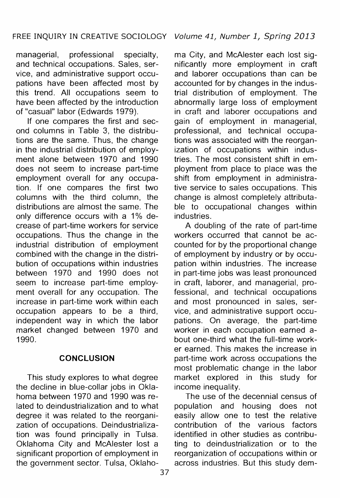managerial, professional specialty, and technical occupations. Sales, service, and administrative support occupations have been affected most by this trend. All occupations seem to have been affected by the introduction of "casual" labor (Edwards 1979).

If one compares the first and second columns in Table 3, the distributions are the same. Thus, the change in the industrial distribution of employment alone between 1970 and 1990 does not seem to increase part-time employment overall for any occupation. If one compares the first two columns with the third column, the distributions are almost the same. The only difference occurs with a 1% decrease of part-time workers for service occupations. Thus the change in the industrial distribution of employment combined with the change in the distribution of occupations within industries between 1970 and 1990 does not seem to increase part-time employment overall for any occupation. The increase in part-time work within each occupation appears to be a third, independent way in which the labor market changed between 1970 and 1990.

#### **CONCLUSION**

This study explores to what degree the decline in blue-collar jobs in Oklahoma between 1970 and 1990 was related to deindustrialization and to what degree it was related to the reorganization of occupations. Deindustrialization was found principally in Tulsa. Oklahoma City and McAlester lost a significant proportion of employment in the government sector. Tulsa, Oklaho-

ma City, and McAlester each lost significantly more employment in craft and laborer occupations than can be accounted for by changes in the industrial distribution of employment. The abnormally large loss of employment in craft and laborer occupations and gain of employment in managerial, professional, and technical occupations was associated with the reorganization of occupations within industries. The most consistent shift in employment from place to place was the shift from employment in administrative service to sales occupations. This change is almost completely attributable to occupational changes within industries.

A doubling of the rate of part-time workers occurred that cannot be accounted for by the proportional change of employment by industry or by occupation within industries. The increase in part-time jobs was least pronounced in craft, laborer, and managerial, professional, and technical occupations and most pronounced in sales, service, and administrative support occupations. On average, the part-time worker in each occupation earned about one-third what the full-time worker earned. This makes the increase in part-time work across occupations the most problematic change in the labor market explored in this study for income inequality.

The use of the decennial census of population and housing does not easily allow one to test the relative contribution of the various factors identified in other studies as contributing to deindustrialization or to the reorganization of occupations within or across industries. But this study dem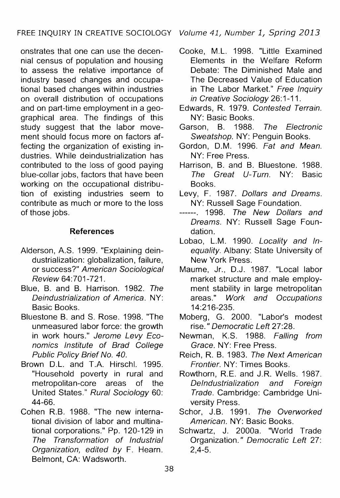onstrates that one can use the decennial census of population and housing to assess the relative importance of industry based changes and occupational based changes within industries on overall distribution of occupations and on part-time employment in a geographical area. The findings of this study suggest that the labor movement should focus more on factors affecting the organization of existing industries. While deindustrialization has contributed to the loss of good paying blue-collar jobs, factors that have been working on the occupational distribution of existing industries seem to contribute as much or more to the loss of those jobs.

## **References**

- Alderson, A.S. 1999. "Explaining deindustrialization: globalization, failure, or success?" American Sociological Review 64:701-721.
- Blue, B. and B. Harrison. 1982. The Deindustrialization of America. NY: Basic Books.
- Bluestone B. and S. Rose. 1998. "The unmeasured labor force: the growth in work hours." Jerome Levy Economics Institute of Brad College Public Policy Brief No. 40.
- Brown D.L. and T.A. Hirschi. 1995. "Household poverty in rural and metropolitan-core areas of the United States." Rural Sociology 60: 44-66.
- Cohen R.B. 1988. "The new international division of labor and multinational corporations." Pp. 120-129 in The Transformation of Industrial Organization, edited by F. Hearn. Belmont, CA: Wadsworth.
- Cooke, M.L. 1998. "Little Examined Elements in the Welfare Reform Debate: The Diminished Male and The Decreased Value of Education in The Labor Market." Free Inquiry in Creative Sociology 26:1-11.
- Edwards, R. 1979. Contested Terrain. NY: Basic Books.
- Garson, B. 1988. The Electronic Sweatshop. NY: Penguin Books.
- Gordon, D.M. 1996. Fat and Mean. NY: Free Press.
- Harrison, B. and B. Bluestone. 1988. The Great U-Turn. NY: Basic Books.
- Levy, F. 1987. Dollars and Dreams. NY: Russell Sage Foundation.
- ------. 1998. The New Dollars and Dreams. NY: Russell Sage Foundation.
- Lobao, L.M. 1990. Locality and Inequality. Albany: State University of New York Press.
- Maume, Jr., D.J. 1987. "Local labor market structure and male employment stability in large metropolitan areas." Work and Occupations 14:216-235.
- Moberg, G. 2000. "Labor's modest rise." Democratic Left 27:28.
- Newman, K.S. 1988. Falling from Grace. NY: Free Press.
- Reich, R. B. 1983. The Next American Frontier. NY: Times Books.
- Rowthorn, R.E. and J.R. Wells. 1987. Delndustrialization and Foreign Trade. Cambridge: Cambridge University Press.
- Schor, J.B. 1991. The Overworked American. NY: Basic Books.
- Schwartz, J. 2000a. ''World Trade Organization." Democratic Left 27: 2,4-5.